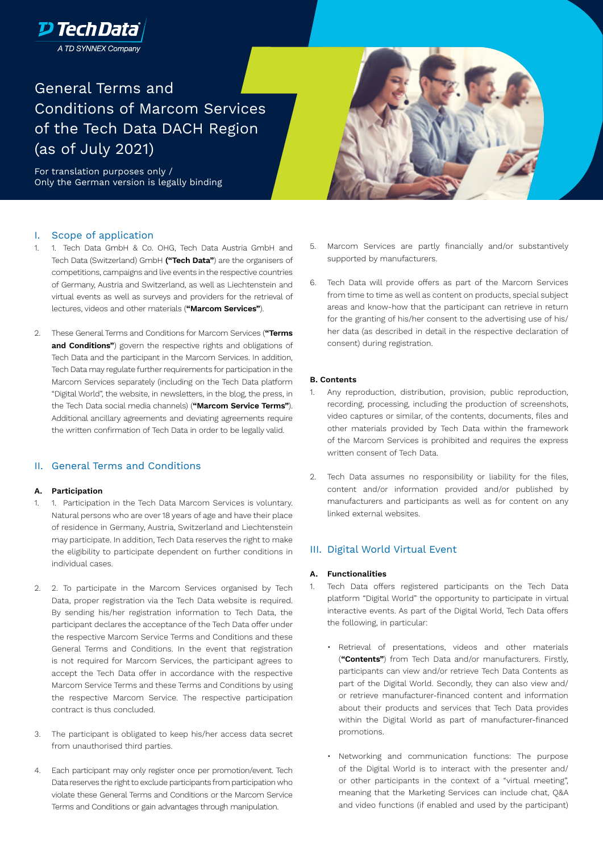

# General Terms and Conditions of Marcom Services of the Tech Data DACH Region (as of July 2021)

For translation purposes only / Only the German version is legally binding



## I. Scope of application

- 1. 1. Tech Data GmbH & Co. OHG, Tech Data Austria GmbH and Tech Data (Switzerland) GmbH **("Tech Data"**) are the organisers of competitions, campaigns and live events in the respective countries of Germany, Austria and Switzerland, as well as Liechtenstein and virtual events as well as surveys and providers for the retrieval of lectures, videos and other materials (**"Marcom Services"**).
- 2. These General Terms and Conditions for Marcom Services (**"Terms and Conditions"**) govern the respective rights and obligations of Tech Data and the participant in the Marcom Services. In addition, Tech Data may regulate further requirements for participation in the Marcom Services separately (including on the Tech Data platform "Digital World", the website, in newsletters, in the blog, the press, in the Tech Data social media channels) (**"Marcom Service Terms"**). Additional ancillary agreements and deviating agreements require the written confirmation of Tech Data in order to be legally valid.

## II. General Terms and Conditions

#### **A. Participation**

- 1. Participation in the Tech Data Marcom Services is voluntary. Natural persons who are over 18 years of age and have their place of residence in Germany, Austria, Switzerland and Liechtenstein may participate. In addition, Tech Data reserves the right to make the eligibility to participate dependent on further conditions in individual cases.
- 2. 2. To participate in the Marcom Services organised by Tech Data, proper registration via the Tech Data website is required. By sending his/her registration information to Tech Data, the participant declares the acceptance of the Tech Data offer under the respective Marcom Service Terms and Conditions and these General Terms and Conditions. In the event that registration is not required for Marcom Services, the participant agrees to accept the Tech Data offer in accordance with the respective Marcom Service Terms and these Terms and Conditions by using the respective Marcom Service. The respective participation contract is thus concluded.
- 3. The participant is obligated to keep his/her access data secret from unauthorised third parties.
- 4. Each participant may only register once per promotion/event. Tech Data reserves the right to exclude participants from participation who violate these General Terms and Conditions or the Marcom Service Terms and Conditions or gain advantages through manipulation.
- 5. Marcom Services are partly financially and/or substantively supported by manufacturers.
- 6. Tech Data will provide offers as part of the Marcom Services from time to time as well as content on products, special subject areas and know-how that the participant can retrieve in return for the granting of his/her consent to the advertising use of his/ her data (as described in detail in the respective declaration of consent) during registration.

#### **B. Contents**

- Any reproduction, distribution, provision, public reproduction, recording, processing, including the production of screenshots, video captures or similar, of the contents, documents, files and other materials provided by Tech Data within the framework of the Marcom Services is prohibited and requires the express written consent of Tech Data.
- 2. Tech Data assumes no responsibility or liability for the files, content and/or information provided and/or published by manufacturers and participants as well as for content on any linked external websites.

# III. Digital World Virtual Event

## **A. Functionalities**

- 1. Tech Data offers registered participants on the Tech Data platform "Digital World" the opportunity to participate in virtual interactive events. As part of the Digital World, Tech Data offers the following, in particular:
	- Retrieval of presentations, videos and other materials (**"Contents"**) from Tech Data and/or manufacturers. Firstly, participants can view and/or retrieve Tech Data Contents as part of the Digital World. Secondly, they can also view and/ or retrieve manufacturer-financed content and information about their products and services that Tech Data provides within the Digital World as part of manufacturer-financed promotions.
	- Networking and communication functions: The purpose of the Digital World is to interact with the presenter and/ or other participants in the context of a "virtual meeting", meaning that the Marketing Services can include chat, Q&A and video functions (if enabled and used by the participant)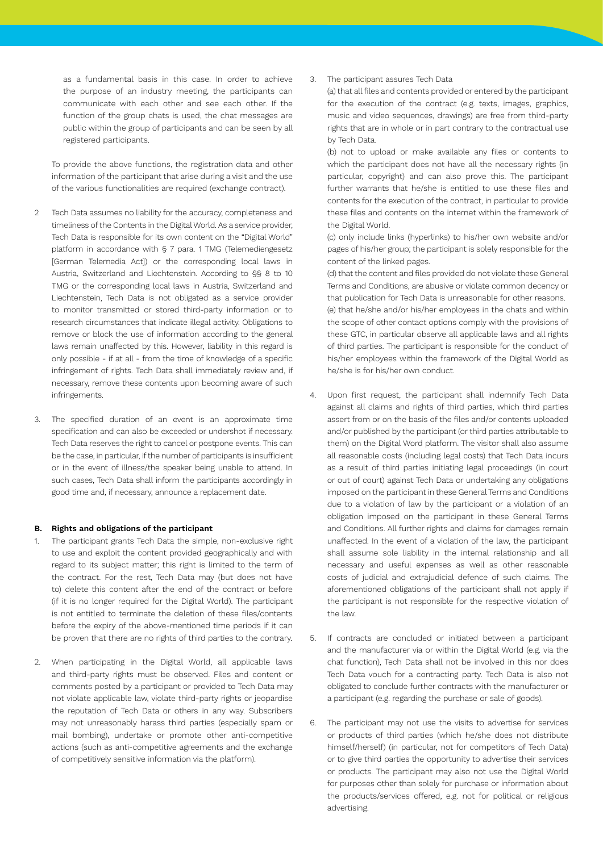as a fundamental basis in this case. In order to achieve the purpose of an industry meeting, the participants can communicate with each other and see each other. If the function of the group chats is used, the chat messages are public within the group of participants and can be seen by all registered participants.

To provide the above functions, the registration data and other information of the participant that arise during a visit and the use of the various functionalities are required (exchange contract).

- 2 Tech Data assumes no liability for the accuracy, completeness and timeliness of the Contents in the Digital World. As a service provider, Tech Data is responsible for its own content on the "Digital World" platform in accordance with § 7 para. 1 TMG (Telemediengesetz [German Telemedia Act]) or the corresponding local laws in Austria, Switzerland and Liechtenstein. According to §§ 8 to 10 TMG or the corresponding local laws in Austria, Switzerland and Liechtenstein, Tech Data is not obligated as a service provider to monitor transmitted or stored third-party information or to research circumstances that indicate illegal activity. Obligations to remove or block the use of information according to the general laws remain unaffected by this. However, liability in this regard is only possible - if at all - from the time of knowledge of a specific infringement of rights. Tech Data shall immediately review and, if necessary, remove these contents upon becoming aware of such infringements.
- 3. The specified duration of an event is an approximate time specification and can also be exceeded or undershot if necessary. Tech Data reserves the right to cancel or postpone events. This can be the case, in particular, if the number of participants is insufficient or in the event of illness/the speaker being unable to attend. In such cases, Tech Data shall inform the participants accordingly in good time and, if necessary, announce a replacement date.

#### **B. Rights and obligations of the participant**

- 1. The participant grants Tech Data the simple, non-exclusive right to use and exploit the content provided geographically and with regard to its subject matter; this right is limited to the term of the contract. For the rest, Tech Data may (but does not have to) delete this content after the end of the contract or before (if it is no longer required for the Digital World). The participant is not entitled to terminate the deletion of these files/contents before the expiry of the above-mentioned time periods if it can be proven that there are no rights of third parties to the contrary.
- 2. When participating in the Digital World, all applicable laws and third-party rights must be observed. Files and content or comments posted by a participant or provided to Tech Data may not violate applicable law, violate third-party rights or jeopardise the reputation of Tech Data or others in any way. Subscribers may not unreasonably harass third parties (especially spam or mail bombing), undertake or promote other anti-competitive actions (such as anti-competitive agreements and the exchange of competitively sensitive information via the platform).

#### 3. The participant assures Tech Data

(a) that all files and contents provided or entered by the participant for the execution of the contract (e.g. texts, images, graphics, music and video sequences, drawings) are free from third-party rights that are in whole or in part contrary to the contractual use by Tech Data.

(b) not to upload or make available any files or contents to which the participant does not have all the necessary rights (in particular, copyright) and can also prove this. The participant further warrants that he/she is entitled to use these files and contents for the execution of the contract, in particular to provide these files and contents on the internet within the framework of the Digital World.

(c) only include links (hyperlinks) to his/her own website and/or pages of his/her group; the participant is solely responsible for the content of the linked pages.

(d) that the content and files provided do not violate these General Terms and Conditions, are abusive or violate common decency or that publication for Tech Data is unreasonable for other reasons. (e) that he/she and/or his/her employees in the chats and within the scope of other contact options comply with the provisions of these GTC, in particular observe all applicable laws and all rights of third parties. The participant is responsible for the conduct of his/her employees within the framework of the Digital World as he/she is for his/her own conduct.

- 4. Upon first request, the participant shall indemnify Tech Data against all claims and rights of third parties, which third parties assert from or on the basis of the files and/or contents uploaded and/or published by the participant (or third parties attributable to them) on the Digital Word platform. The visitor shall also assume all reasonable costs (including legal costs) that Tech Data incurs as a result of third parties initiating legal proceedings (in court or out of court) against Tech Data or undertaking any obligations imposed on the participant in these General Terms and Conditions due to a violation of law by the participant or a violation of an obligation imposed on the participant in these General Terms and Conditions. All further rights and claims for damages remain unaffected. In the event of a violation of the law, the participant shall assume sole liability in the internal relationship and all necessary and useful expenses as well as other reasonable costs of judicial and extrajudicial defence of such claims. The aforementioned obligations of the participant shall not apply if the participant is not responsible for the respective violation of the law.
- 5. If contracts are concluded or initiated between a participant and the manufacturer via or within the Digital World (e.g. via the chat function), Tech Data shall not be involved in this nor does Tech Data vouch for a contracting party. Tech Data is also not obligated to conclude further contracts with the manufacturer or a participant (e.g. regarding the purchase or sale of goods).
- 6. The participant may not use the visits to advertise for services or products of third parties (which he/she does not distribute himself/herself) (in particular, not for competitors of Tech Data) or to give third parties the opportunity to advertise their services or products. The participant may also not use the Digital World for purposes other than solely for purchase or information about the products/services offered, e.g. not for political or religious advertising.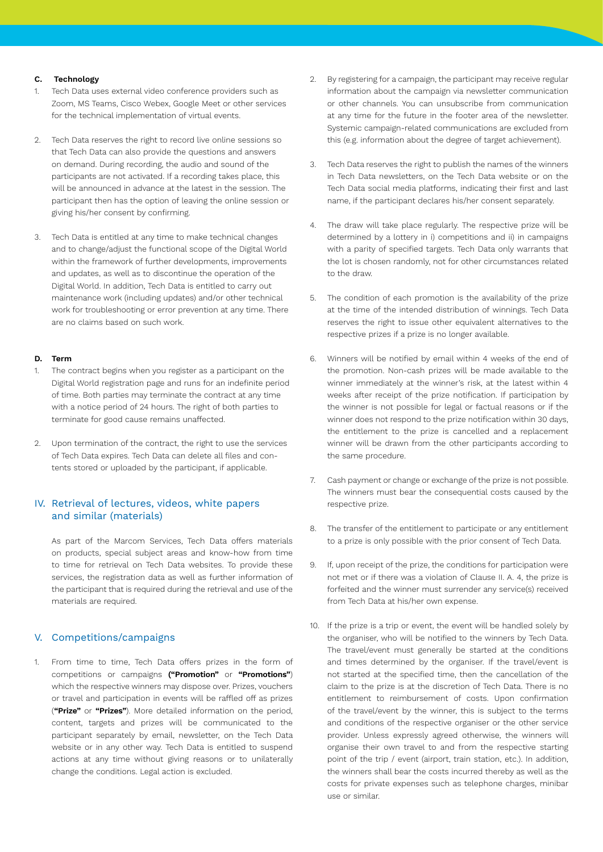### **C. Technology**

- 1. Tech Data uses external video conference providers such as Zoom, MS Teams, Cisco Webex, Google Meet or other services for the technical implementation of virtual events.
- 2. Tech Data reserves the right to record live online sessions so that Tech Data can also provide the questions and answers on demand. During recording, the audio and sound of the participants are not activated. If a recording takes place, this will be announced in advance at the latest in the session. The participant then has the option of leaving the online session or giving his/her consent by confirming.
- 3. Tech Data is entitled at any time to make technical changes and to change/adjust the functional scope of the Digital World within the framework of further developments, improvements and updates, as well as to discontinue the operation of the Digital World. In addition, Tech Data is entitled to carry out maintenance work (including updates) and/or other technical work for troubleshooting or error prevention at any time. There are no claims based on such work.

## **D. Term**

- 1. The contract begins when you register as a participant on the Digital World registration page and runs for an indefinite period of time. Both parties may terminate the contract at any time with a notice period of 24 hours. The right of both parties to terminate for good cause remains unaffected.
- 2. Upon termination of the contract, the right to use the services of Tech Data expires. Tech Data can delete all files and contents stored or uploaded by the participant, if applicable.

# IV. Retrieval of lectures, videos, white papers and similar (materials)

As part of the Marcom Services, Tech Data offers materials on products, special subject areas and know-how from time to time for retrieval on Tech Data websites. To provide these services, the registration data as well as further information of the participant that is required during the retrieval and use of the materials are required.

## V. Competitions/campaigns

1. From time to time, Tech Data offers prizes in the form of competitions or campaigns **("Promotion"** or **"Promotions"**) which the respective winners may dispose over. Prizes, vouchers or travel and participation in events will be raffled off as prizes (**"Prize"** or **"Prizes"**). More detailed information on the period, content, targets and prizes will be communicated to the participant separately by email, newsletter, on the Tech Data website or in any other way. Tech Data is entitled to suspend actions at any time without giving reasons or to unilaterally change the conditions. Legal action is excluded.

- By registering for a campaign, the participant may receive regular information about the campaign via newsletter communication or other channels. You can unsubscribe from communication at any time for the future in the footer area of the newsletter. Systemic campaign-related communications are excluded from this (e.g. information about the degree of target achievement).
- 3. Tech Data reserves the right to publish the names of the winners in Tech Data newsletters, on the Tech Data website or on the Tech Data social media platforms, indicating their first and last name, if the participant declares his/her consent separately.
- 4. The draw will take place regularly. The respective prize will be determined by a lottery in i) competitions and ii) in campaigns with a parity of specified targets. Tech Data only warrants that the lot is chosen randomly, not for other circumstances related to the draw.
- 5. The condition of each promotion is the availability of the prize at the time of the intended distribution of winnings. Tech Data reserves the right to issue other equivalent alternatives to the respective prizes if a prize is no longer available.
- 6. Winners will be notified by email within 4 weeks of the end of the promotion. Non-cash prizes will be made available to the winner immediately at the winner's risk, at the latest within 4 weeks after receipt of the prize notification. If participation by the winner is not possible for legal or factual reasons or if the winner does not respond to the prize notification within 30 days, the entitlement to the prize is cancelled and a replacement winner will be drawn from the other participants according to the same procedure.
- 7. Cash payment or change or exchange of the prize is not possible. The winners must bear the consequential costs caused by the respective prize.
- 8. The transfer of the entitlement to participate or any entitlement to a prize is only possible with the prior consent of Tech Data.
- 9. If, upon receipt of the prize, the conditions for participation were not met or if there was a violation of Clause II. A. 4, the prize is forfeited and the winner must surrender any service(s) received from Tech Data at his/her own expense.
- 10. If the prize is a trip or event, the event will be handled solely by the organiser, who will be notified to the winners by Tech Data. The travel/event must generally be started at the conditions and times determined by the organiser. If the travel/event is not started at the specified time, then the cancellation of the claim to the prize is at the discretion of Tech Data. There is no entitlement to reimbursement of costs. Upon confirmation of the travel/event by the winner, this is subject to the terms and conditions of the respective organiser or the other service provider. Unless expressly agreed otherwise, the winners will organise their own travel to and from the respective starting point of the trip / event (airport, train station, etc.). In addition, the winners shall bear the costs incurred thereby as well as the costs for private expenses such as telephone charges, minibar use or similar.